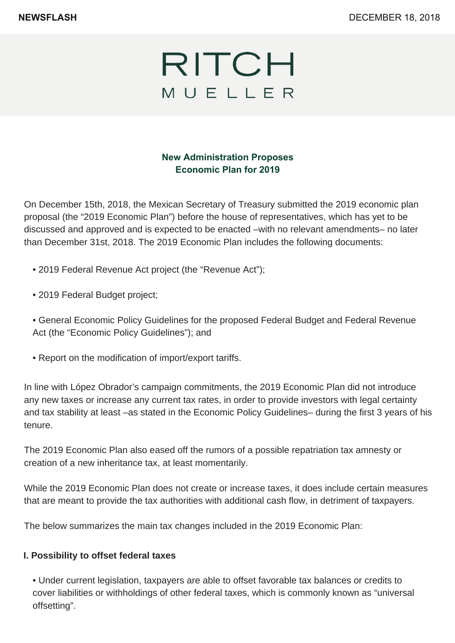

### **New Administration Proposes Economic Plan for 2019**

On December 15th, 2018, the Mexican Secretary of Treasury submitted the 2019 economic plan proposal (the "2019 Economic Plan") before the house of representatives, which has yet to be discussed and approved and is expected to be enacted –with no relevant amendments– no later than December 31st, 2018. The 2019 Economic Plan includes the following documents:

- 2019 Federal Revenue Act project (the "Revenue Act");
- 2019 Federal Budget project;
- General Economic Policy Guidelines for the proposed Federal Budget and Federal Revenue Act (the "Economic Policy Guidelines"); and
- Report on the modification of import/export tariffs.

In line with López Obrador's campaign commitments, the 2019 Economic Plan did not introduce any new taxes or increase any current tax rates, in order to provide investors with legal certainty and tax stability at least –as stated in the Economic Policy Guidelines– during the first 3 years of his tenure.

The 2019 Economic Plan also eased off the rumors of a possible repatriation tax amnesty or creation of a new inheritance tax, at least momentarily.

While the 2019 Economic Plan does not create or increase taxes, it does include certain measures that are meant to provide the tax authorities with additional cash flow, in detriment of taxpayers.

The below summarizes the main tax changes included in the 2019 Economic Plan:

### **I. Possibility to offset federal taxes**

• Under current legislation, taxpayers are able to offset favorable tax balances or credits to cover liabilities or withholdings of other federal taxes, which is commonly known as "universal offsetting".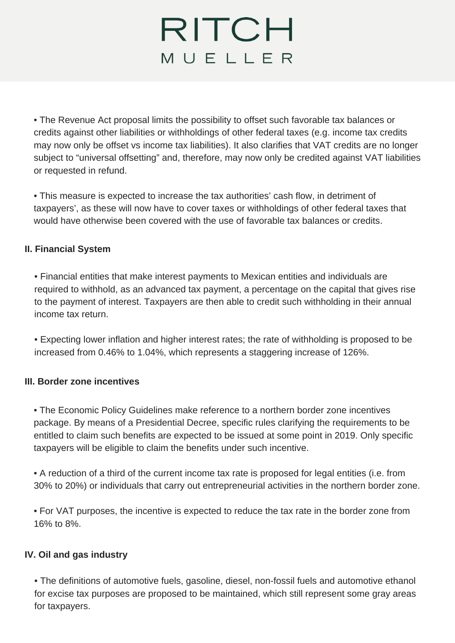### RITCH MUELLER

• The Revenue Act proposal limits the possibility to offset such favorable tax balances or credits against other liabilities or withholdings of other federal taxes (e.g. income tax credits may now only be offset vs income tax liabilities). It also clarifies that VAT credits are no longer subject to "universal offsetting" and, therefore, may now only be credited against VAT liabilities or requested in refund.

• This measure is expected to increase the tax authorities' cash flow, in detriment of taxpayers', as these will now have to cover taxes or withholdings of other federal taxes that would have otherwise been covered with the use of favorable tax balances or credits.

### **II. Financial System**

• Financial entities that make interest payments to Mexican entities and individuals are required to withhold, as an advanced tax payment, a percentage on the capital that gives rise to the payment of interest. Taxpayers are then able to credit such withholding in their annual income tax return.

• Expecting lower inflation and higher interest rates; the rate of withholding is proposed to be increased from 0.46% to 1.04%, which represents a staggering increase of 126%.

### **III. Border zone incentives**

• The Economic Policy Guidelines make reference to a northern border zone incentives package. By means of a Presidential Decree, specific rules clarifying the requirements to be entitled to claim such benefits are expected to be issued at some point in 2019. Only specific taxpayers will be eligible to claim the benefits under such incentive.

• A reduction of a third of the current income tax rate is proposed for legal entities (i.e. from 30% to 20%) or individuals that carry out entrepreneurial activities in the northern border zone.

• For VAT purposes, the incentive is expected to reduce the tax rate in the border zone from 16% to 8%.

### **IV. Oil and gas industry**

• The definitions of automotive fuels, gasoline, diesel, non-fossil fuels and automotive ethanol for excise tax purposes are proposed to be maintained, which still represent some gray areas for taxpayers.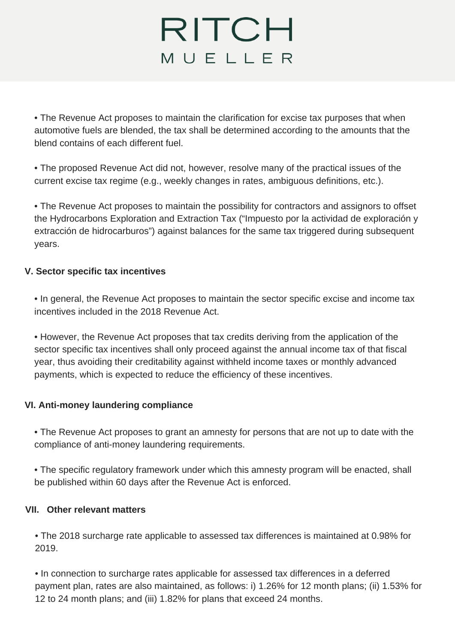# RITCH MUELLER

• The Revenue Act proposes to maintain the clarification for excise tax purposes that when automotive fuels are blended, the tax shall be determined according to the amounts that the blend contains of each different fuel.

• The proposed Revenue Act did not, however, resolve many of the practical issues of the current excise tax regime (e.g., weekly changes in rates, ambiguous definitions, etc.).

• The Revenue Act proposes to maintain the possibility for contractors and assignors to offset the Hydrocarbons Exploration and Extraction Tax ("Impuesto por la actividad de exploración y extracción de hidrocarburos") against balances for the same tax triggered during subsequent years.

### **V. Sector specific tax incentives**

• In general, the Revenue Act proposes to maintain the sector specific excise and income tax incentives included in the 2018 Revenue Act.

• However, the Revenue Act proposes that tax credits deriving from the application of the sector specific tax incentives shall only proceed against the annual income tax of that fiscal year, thus avoiding their creditability against withheld income taxes or monthly advanced payments, which is expected to reduce the efficiency of these incentives.

### **VI. Anti-money laundering compliance**

• The Revenue Act proposes to grant an amnesty for persons that are not up to date with the compliance of anti-money laundering requirements.

• The specific regulatory framework under which this amnesty program will be enacted, shall be published within 60 days after the Revenue Act is enforced.

### **VII. Other relevant matters**

• The 2018 surcharge rate applicable to assessed tax differences is maintained at 0.98% for 2019.

• In connection to surcharge rates applicable for assessed tax differences in a deferred payment plan, rates are also maintained, as follows: i) 1.26% for 12 month plans; (ii) 1.53% for 12 to 24 month plans; and (iii) 1.82% for plans that exceed 24 months.